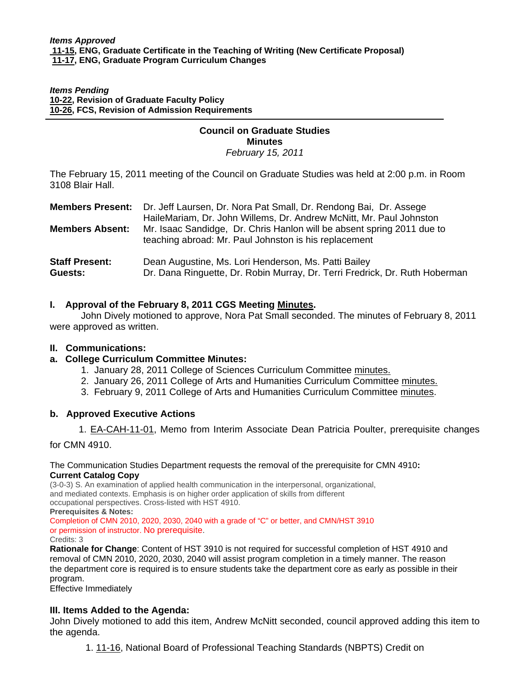#### *Items Pending* **[10-22, R](http://www.eiu.edu/~eiucgs/currentagendaitems/agenda10-22.pdf)evision of Graduate Faculty Policy [10-26, F](http://www.eiu.edu/~eiucgs/currentagendaitems/agenda10-26.pdf)CS, Revision of Admission Requirements**

#### **Council on Graduate Studies Minutes**

*February 15, 2011* 

The February 15, 2011 meeting of the Council on Graduate Studies was held at 2:00 p.m. in Room 3108 Blair Hall.

| <b>Members Absent:</b>           | <b>Members Present:</b> Dr. Jeff Laursen, Dr. Nora Pat Small, Dr. Rendong Bai, Dr. Assege<br>HaileMariam, Dr. John Willems, Dr. Andrew McNitt, Mr. Paul Johnston<br>Mr. Isaac Sandidge, Dr. Chris Hanlon will be absent spring 2011 due to |
|----------------------------------|--------------------------------------------------------------------------------------------------------------------------------------------------------------------------------------------------------------------------------------------|
| <b>Staff Present:</b><br>Guests: | teaching abroad: Mr. Paul Johnston is his replacement<br>Dean Augustine, Ms. Lori Henderson, Ms. Patti Bailey<br>Dr. Dana Ringuette, Dr. Robin Murray, Dr. Terri Fredrick, Dr. Ruth Hoberman                                               |

### **I. Approval of the February 8, 2011 CGS Meeting Minutes.**

 John Dively motioned to approve, Nora Pat Small seconded. The minutes of February 8, 2011 were approved as written.

#### **II. Communications:**

j

### **a. College Curriculum Committee Minutes:**

- 1. January 28, 2011 College of Sciences Curriculum Committe[e minutes.](http://www.eiu.edu/~eiucgs/currentagendaitems/COSMin1-28-11.pdf)
- 2. January 26, 2011 College of Arts and Humanities Curriculum Committee [minutes.](http://www.eiu.edu/~eiucgs/currentagendaitems/CAHMin1-26-11.pdf)
- 3. February 9, 2011 College of Arts and Humanities Curriculum Committe[e minutes.](http://www.eiu.edu/~eiucgs/currentagendaitems/CAHMin2-9-11.pdf)

#### **b. Approved Executive Actions**

1[. EA-CAH-11-01, Me](http://castle.eiu.edu/~eiucgs/exec-actions/EA-CAH-11-01.pdf)mo from Interim Associate Dean Patricia Poulter, prerequisite changes

for CMN 4910.

#### The Communication Studies Department requests the removal of the prerequisite for CMN 4910**: Current Catalog Copy**

(3-0-3) S. An examination of applied health communication in the interpersonal, organizational, and mediated contexts. Emphasis is on higher order application of skills from different occupational perspectives. Cross-listed with HST 4910.

**Prerequisites & Notes:** 

Completion of CMN 2010, 2020, 2030, 2040 with a grade of "C" or better, and CMN/HST 3910 or permission of instructor. No prerequisite.

Credits: 3

**Rationale for Change**: Content of HST 3910 is not required for successful completion of HST 4910 and removal of CMN 2010, 2020, 2030, 2040 will assist program completion in a timely manner. The reason the department core is required is to ensure students take the department core as early as possible in their program.

Effective Immediately

### **III. Items Added to the Agenda:**

John Dively motioned to add this item, Andrew McNitt seconded, council approved adding this item to the agenda.

[1. 11-16, N](http://www.eiu.edu/~eiucgs/currentagendaitems/agenda11-16.pdf)ational Board of Professional Teaching Standards (NBPTS) Credit on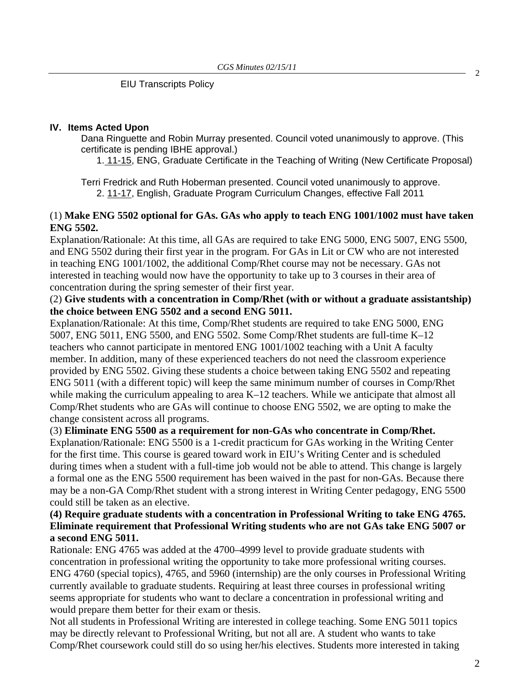EIU Transcripts Policy

#### **IV. Items Acted Upon**

Dana Ringuette and Robin Murray presented. Council voted unanimously to approve. (This certificate is pending IBHE approval.)

[1. 11-15, ENG](http://www.eiu.edu/~eiucgs/currentagendaitems/agenda11-15.pdf), Graduate Certificate in the Teaching of Writing (New Certificate Proposal)

Terri Fredrick and Ruth Hoberman presented. Council voted unanimously to approve. 2[. 11-17, E](http://www.eiu.edu/~eiucgs/currentagendaitems/agenda11-17.pdf)nglish, Graduate Program Curriculum Changes, effective Fall 2011

## (1) **Make ENG 5502 optional for GAs. GAs who apply to teach ENG 1001/1002 must have taken ENG 5502.**

Explanation/Rationale: At this time, all GAs are required to take ENG 5000, ENG 5007, ENG 5500, and ENG 5502 during their first year in the program. For GAs in Lit or CW who are not interested in teaching ENG 1001/1002, the additional Comp/Rhet course may not be necessary. GAs not interested in teaching would now have the opportunity to take up to 3 courses in their area of concentration during the spring semester of their first year.

# (2) **Give students with a concentration in Comp/Rhet (with or without a graduate assistantship) the choice between ENG 5502 and a second ENG 5011.**

Explanation/Rationale: At this time, Comp/Rhet students are required to take ENG 5000, ENG 5007, ENG 5011, ENG 5500, and ENG 5502. Some Comp/Rhet students are full-time K–12 teachers who cannot participate in mentored ENG 1001/1002 teaching with a Unit A faculty member. In addition, many of these experienced teachers do not need the classroom experience provided by ENG 5502. Giving these students a choice between taking ENG 5502 and repeating ENG 5011 (with a different topic) will keep the same minimum number of courses in Comp/Rhet while making the curriculum appealing to area K–12 teachers. While we anticipate that almost all Comp/Rhet students who are GAs will continue to choose ENG 5502, we are opting to make the change consistent across all programs.

## (3) **Eliminate ENG 5500 as a requirement for non-GAs who concentrate in Comp/Rhet.**

Explanation/Rationale: ENG 5500 is a 1-credit practicum for GAs working in the Writing Center for the first time. This course is geared toward work in EIU's Writing Center and is scheduled during times when a student with a full-time job would not be able to attend. This change is largely a formal one as the ENG 5500 requirement has been waived in the past for non-GAs. Because there may be a non-GA Comp/Rhet student with a strong interest in Writing Center pedagogy, ENG 5500 could still be taken as an elective.

## **(4) Require graduate students with a concentration in Professional Writing to take ENG 4765. Eliminate requirement that Professional Writing students who are not GAs take ENG 5007 or a second ENG 5011.**

Rationale: ENG 4765 was added at the 4700–4999 level to provide graduate students with concentration in professional writing the opportunity to take more professional writing courses. ENG 4760 (special topics), 4765, and 5960 (internship) are the only courses in Professional Writing currently available to graduate students. Requiring at least three courses in professional writing seems appropriate for students who want to declare a concentration in professional writing and would prepare them better for their exam or thesis.

Not all students in Professional Writing are interested in college teaching. Some ENG 5011 topics may be directly relevant to Professional Writing, but not all are. A student who wants to take Comp/Rhet coursework could still do so using her/his electives. Students more interested in taking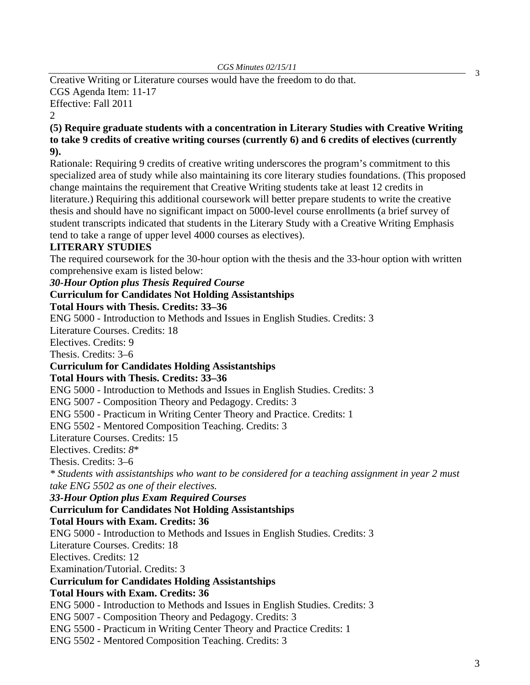Creative Writing or Literature courses would have the freedom to do that. CGS Agenda Item: 11-17 Effective: Fall 2011

2

**(5) Require graduate students with a concentration in Literary Studies with Creative Writing to take 9 credits of creative writing courses (currently 6) and 6 credits of electives (currently 9).** 

Rationale: Requiring 9 credits of creative writing underscores the program's commitment to this specialized area of study while also maintaining its core literary studies foundations. (This proposed change maintains the requirement that Creative Writing students take at least 12 credits in literature.) Requiring this additional coursework will better prepare students to write the creative thesis and should have no significant impact on 5000-level course enrollments (a brief survey of student transcripts indicated that students in the Literary Study with a Creative Writing Emphasis tend to take a range of upper level 4000 courses as electives).

# **LITERARY STUDIES**

The required coursework for the 30-hour option with the thesis and the 33-hour option with written comprehensive exam is listed below:

*30-Hour Option plus Thesis Required Course* 

## **Curriculum for Candidates Not Holding Assistantships**

**Total Hours with Thesis. Credits: 33–36** 

ENG 5000 - Introduction to Methods and Issues in English Studies. Credits: 3

Literature Courses. Credits: 18

Electives. Credits: 9

Thesis. Credits: 3–6

## **Curriculum for Candidates Holding Assistantships**

**Total Hours with Thesis. Credits: 33–36** 

ENG 5000 - Introduction to Methods and Issues in English Studies. Credits: 3

ENG 5007 - Composition Theory and Pedagogy. Credits: 3

ENG 5500 - Practicum in Writing Center Theory and Practice. Credits: 1

ENG 5502 - Mentored Composition Teaching. Credits: 3

Literature Courses. Credits: 15

Electives. Credits: *8*\*

Thesis. Credits: 3–6

*\* Students with assistantships who want to be considered for a teaching assignment in year 2 must take ENG 5502 as one of their electives.* 

*33-Hour Option plus Exam Required Courses* 

### **Curriculum for Candidates Not Holding Assistantships**

**Total Hours with Exam. Credits: 36** 

ENG 5000 - Introduction to Methods and Issues in English Studies. Credits: 3

Literature Courses. Credits: 18

Electives. Credits: 12

Examination/Tutorial. Credits: 3

### **Curriculum for Candidates Holding Assistantships**

# **Total Hours with Exam. Credits: 36**

ENG 5000 - Introduction to Methods and Issues in English Studies. Credits: 3

ENG 5007 - Composition Theory and Pedagogy. Credits: 3

ENG 5500 - Practicum in Writing Center Theory and Practice Credits: 1

ENG 5502 - Mentored Composition Teaching. Credits: 3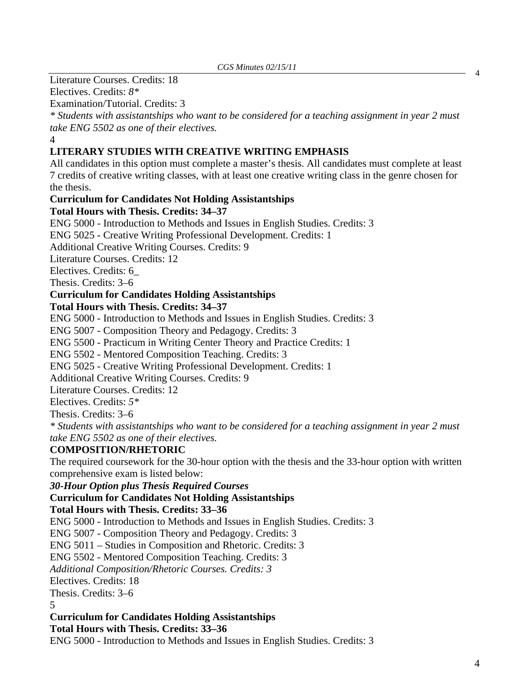Literature Courses. Credits: 18

Electives. Credits: *8\** 

Examination/Tutorial. Credits: 3

*\* Students with assistantships who want to be considered for a teaching assignment in year 2 must take ENG 5502 as one of their electives.* 

4

# **LITERARY STUDIES WITH CREATIVE WRITING EMPHASIS**

All candidates in this option must complete a master's thesis. All candidates must complete at least 7 credits of creative writing classes, with at least one creative writing class in the genre chosen for the thesis.

# **Curriculum for Candidates Not Holding Assistantships**

**Total Hours with Thesis. Credits: 34–37** 

ENG 5000 - Introduction to Methods and Issues in English Studies. Credits: 3

ENG 5025 - Creative Writing Professional Development. Credits: 1

Additional Creative Writing Courses. Credits: 9

Literature Courses. Credits: 12

Electives. Credits: 6\_

Thesis. Credits: 3–6

# **Curriculum for Candidates Holding Assistantships**

**Total Hours with Thesis. Credits: 34–37** 

ENG 5000 - Introduction to Methods and Issues in English Studies. Credits: 3

ENG 5007 - Composition Theory and Pedagogy. Credits: 3

ENG 5500 - Practicum in Writing Center Theory and Practice Credits: 1

ENG 5502 - Mentored Composition Teaching. Credits: 3

ENG 5025 - Creative Writing Professional Development. Credits: 1

Additional Creative Writing Courses. Credits: 9

Literature Courses. Credits: 12

Electives. Credits: *5\** 

Thesis. Credits: 3–6

*\* Students with assistantships who want to be considered for a teaching assignment in year 2 must take ENG 5502 as one of their electives.* 

# **COMPOSITION/RHETORIC**

The required coursework for the 30-hour option with the thesis and the 33-hour option with written comprehensive exam is listed below:

*30-Hour Option plus Thesis Required Courses* 

# **Curriculum for Candidates Not Holding Assistantships**

**Total Hours with Thesis. Credits: 33–36** 

ENG 5000 - Introduction to Methods and Issues in English Studies. Credits: 3

ENG 5007 - Composition Theory and Pedagogy. Credits: 3

ENG 5011 – Studies in Composition and Rhetoric. Credits: 3

ENG 5502 - Mentored Composition Teaching. Credits: 3

*Additional Composition/Rhetoric Courses. Credits: 3* 

Electives. Credits: 18

Thesis. Credits: 3–6

5

**Curriculum for Candidates Holding Assistantships** 

**Total Hours with Thesis. Credits: 33–36** 

ENG 5000 - Introduction to Methods and Issues in English Studies. Credits: 3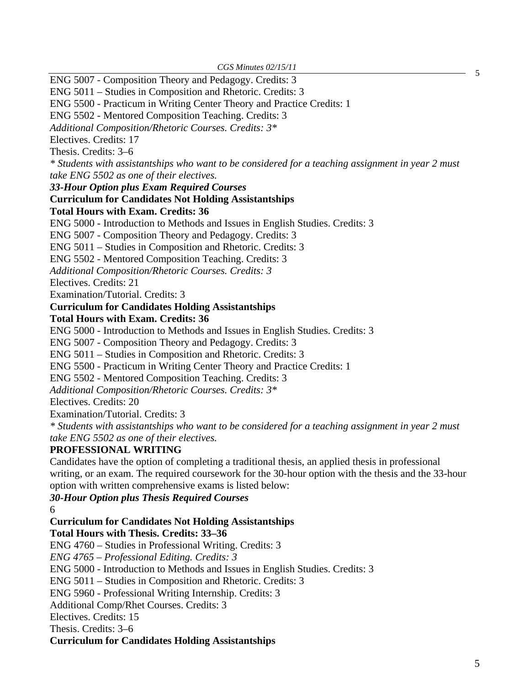ENG 5007 - Composition Theory and Pedagogy. Credits: 3

ENG 5011 – Studies in Composition and Rhetoric. Credits: 3 ENG 5500 - Practicum in Writing Center Theory and Practice Credits: 1 ENG 5502 - Mentored Composition Teaching. Credits: 3 *Additional Composition/Rhetoric Courses. Credits: 3\**  Electives. Credits: 17 Thesis. Credits: 3–6 *\* Students with assistantships who want to be considered for a teaching assignment in year 2 must take ENG 5502 as one of their electives. 33-Hour Option plus Exam Required Courses*  **Curriculum for Candidates Not Holding Assistantships Total Hours with Exam. Credits: 36**  ENG 5000 - Introduction to Methods and Issues in English Studies. Credits: 3 ENG 5007 - Composition Theory and Pedagogy. Credits: 3 ENG 5011 – Studies in Composition and Rhetoric. Credits: 3 ENG 5502 - Mentored Composition Teaching. Credits: 3 *Additional Composition/Rhetoric Courses. Credits: 3*  Electives. Credits: 21 Examination/Tutorial. Credits: 3 **Curriculum for Candidates Holding Assistantships Total Hours with Exam. Credits: 36**  ENG 5000 - Introduction to Methods and Issues in English Studies. Credits: 3 ENG 5007 - Composition Theory and Pedagogy. Credits: 3 ENG 5011 – Studies in Composition and Rhetoric. Credits: 3 ENG 5500 - Practicum in Writing Center Theory and Practice Credits: 1 ENG 5502 - Mentored Composition Teaching. Credits: 3 *Additional Composition/Rhetoric Courses. Credits: 3\**  Electives. Credits: 20 Examination/Tutorial. Credits: 3 *\* Students with assistantships who want to be considered for a teaching assignment in year 2 must take ENG 5502 as one of their electives.*  **PROFESSIONAL WRITING**  Candidates have the option of completing a traditional thesis, an applied thesis in professional writing, or an exam. The required coursework for the 30-hour option with the thesis and the 33-hour option with written comprehensive exams is listed below: *30-Hour Option plus Thesis Required Courses*  6 **Curriculum for Candidates Not Holding Assistantships Total Hours with Thesis. Credits: 33–36**  ENG 4760 – Studies in Professional Writing. Credits: 3 *ENG 4765 – Professional Editing. Credits: 3*  ENG 5000 - Introduction to Methods and Issues in English Studies. Credits: 3 ENG 5011 – Studies in Composition and Rhetoric. Credits: 3 ENG 5960 - Professional Writing Internship. Credits: 3 Additional Comp/Rhet Courses. Credits: 3 Electives. Credits: 15 Thesis. Credits: 3–6 **Curriculum for Candidates Holding Assistantships** 

5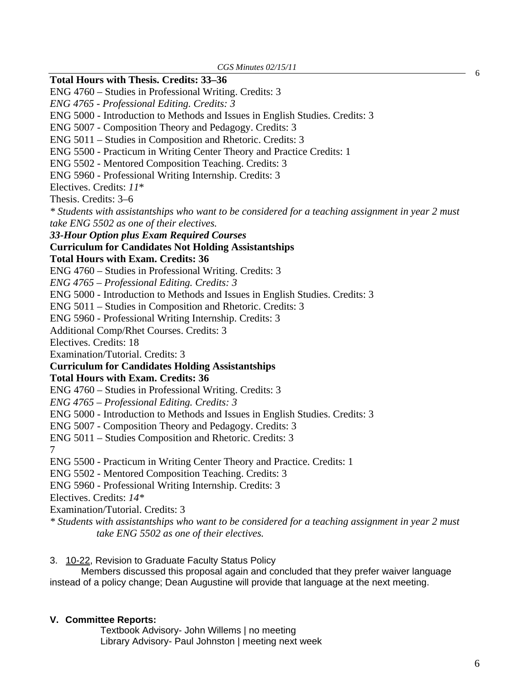### **Total Hours with Thesis. Credits: 33–36**

ENG 4760 – Studies in Professional Writing. Credits: 3

*ENG 4765 - Professional Editing. Credits: 3* 

ENG 5000 - Introduction to Methods and Issues in English Studies. Credits: 3

ENG 5007 - Composition Theory and Pedagogy. Credits: 3

ENG 5011 – Studies in Composition and Rhetoric. Credits: 3

ENG 5500 - Practicum in Writing Center Theory and Practice Credits: 1

ENG 5502 - Mentored Composition Teaching. Credits: 3

ENG 5960 - Professional Writing Internship. Credits: 3

Electives. Credits: *11*\*

Thesis. Credits: 3–6

*\* Students with assistantships who want to be considered for a teaching assignment in year 2 must take ENG 5502 as one of their electives.* 

*33-Hour Option plus Exam Required Courses* 

### **Curriculum for Candidates Not Holding Assistantships**

**Total Hours with Exam. Credits: 36** 

ENG 4760 – Studies in Professional Writing. Credits: 3

*ENG 4765 – Professional Editing. Credits: 3* 

ENG 5000 - Introduction to Methods and Issues in English Studies. Credits: 3

ENG 5011 – Studies in Composition and Rhetoric. Credits: 3

ENG 5960 - Professional Writing Internship. Credits: 3

Additional Comp/Rhet Courses. Credits: 3

Electives. Credits: 18

Examination/Tutorial. Credits: 3

# **Curriculum for Candidates Holding Assistantships**

#### **Total Hours with Exam. Credits: 36**

ENG 4760 – Studies in Professional Writing. Credits: 3

*ENG 4765 – Professional Editing. Credits: 3* 

ENG 5000 - Introduction to Methods and Issues in English Studies. Credits: 3

ENG 5007 - Composition Theory and Pedagogy. Credits: 3

ENG 5011 – Studies Composition and Rhetoric. Credits: 3

7

ENG 5500 - Practicum in Writing Center Theory and Practice. Credits: 1

ENG 5502 - Mentored Composition Teaching. Credits: 3

ENG 5960 - Professional Writing Internship. Credits: 3

Electives. Credits: *14\** 

Examination/Tutorial. Credits: 3

*\* Students with assistantships who want to be considered for a teaching assignment in year 2 must take ENG 5502 as one of their electives.*

3.[10-22, Rev](http://www.eiu.edu/~eiucgs/currentagendaitems/agenda10-22.pdf)ision to Graduate Faculty Status Policy

Members discussed this proposal again and concluded that they prefer waiver language instead of a policy change; Dean Augustine will provide that language at the next meeting.

#### **V. Committee Reports:**

Textbook Advisory- John Willems | no meeting Library Advisory- Paul Johnston | meeting next week